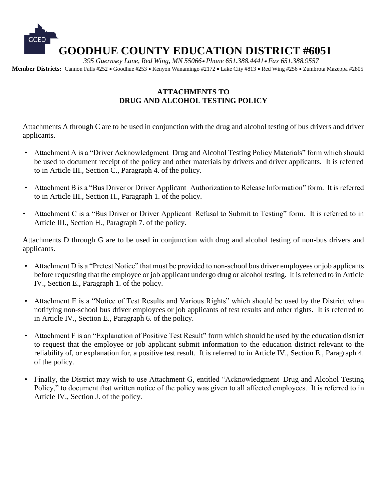

### **ATTACHMENTS TO DRUG AND ALCOHOL TESTING POLICY**

Attachments A through C are to be used in conjunction with the drug and alcohol testing of bus drivers and driver applicants.

- Attachment A is a "Driver Acknowledgment–Drug and Alcohol Testing Policy Materials" form which should be used to document receipt of the policy and other materials by drivers and driver applicants. It is referred to in Article III., Section C., Paragraph 4. of the policy.
- Attachment B is a "Bus Driver or Driver Applicant–Authorization to Release Information" form. It is referred to in Article III., Section H., Paragraph 1. of the policy.
- Attachment C is a "Bus Driver or Driver Applicant–Refusal to Submit to Testing" form. It is referred to in Article III., Section H., Paragraph 7. of the policy.

Attachments D through G are to be used in conjunction with drug and alcohol testing of non-bus drivers and applicants.

- Attachment D is a "Pretest Notice" that must be provided to non-school bus driver employees or job applicants before requesting that the employee or job applicant undergo drug or alcohol testing. It is referred to in Article IV., Section E., Paragraph 1. of the policy.
- Attachment E is a "Notice of Test Results and Various Rights" which should be used by the District when notifying non-school bus driver employees or job applicants of test results and other rights. It is referred to in Article IV., Section E., Paragraph 6. of the policy.
- Attachment F is an "Explanation of Positive Test Result" form which should be used by the education district to request that the employee or job applicant submit information to the education district relevant to the reliability of, or explanation for, a positive test result. It is referred to in Article IV., Section E., Paragraph 4. of the policy.
- Finally, the District may wish to use Attachment G, entitled "Acknowledgment–Drug and Alcohol Testing Policy," to document that written notice of the policy was given to all affected employees. It is referred to in Article IV., Section J. of the policy.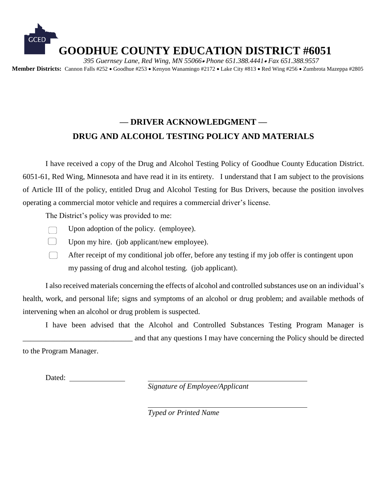

# **— DRIVER ACKNOWLEDGMENT — DRUG AND ALCOHOL TESTING POLICY AND MATERIALS**

I have received a copy of the Drug and Alcohol Testing Policy of Goodhue County Education District. 6051-61, Red Wing, Minnesota and have read it in its entirety. I understand that I am subject to the provisions of Article III of the policy, entitled Drug and Alcohol Testing for Bus Drivers, because the position involves operating a commercial motor vehicle and requires a commercial driver's license.

The District's policy was provided to me:

- Upon adoption of the policy. (employee).
- 
- Upon my hire. (job applicant/new employee).
	- After receipt of my conditional job offer, before any testing if my job offer is contingent upon my passing of drug and alcohol testing. (job applicant).

I also received materials concerning the effects of alcohol and controlled substances use on an individual's health, work, and personal life; signs and symptoms of an alcohol or drug problem; and available methods of intervening when an alcohol or drug problem is suspected.

I have been advised that the Alcohol and Controlled Substances Testing Program Manager is \_\_\_\_\_\_\_\_\_\_\_\_\_\_\_\_\_\_\_\_\_\_\_\_\_\_\_\_\_ and that any questions I may have concerning the Policy should be directed

to the Program Manager.

Dated:

*Signature of Employee/Applicant*

*Typed or Printed Name*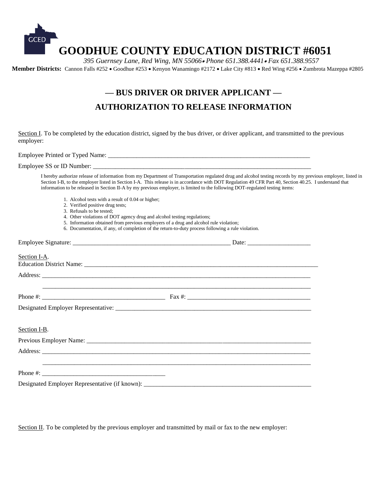

## **— BUS DRIVER OR DRIVER APPLICANT — AUTHORIZATION TO RELEASE INFORMATION**

Section I. To be completed by the education district, signed by the bus driver, or driver applicant, and transmitted to the previous employer:

Employee Printed or Typed Name: \_\_\_\_\_\_\_\_\_\_\_\_\_\_\_\_\_\_\_\_\_\_\_\_\_\_\_\_\_\_\_\_\_\_\_\_\_\_\_\_\_\_\_\_\_\_\_\_\_\_\_\_\_\_\_\_\_\_\_\_\_\_\_\_

Employee SS or ID Number:

I hereby authorize release of information from my Department of Transportation regulated drug and alcohol testing records by my previous employer, listed in Section I-B, to the employer listed in Section I-A. This release is in accordance with DOT Regulation 49 CFR Part 40, Section 40.25. I understand that information to be released in Section II-A by my previous employer, is limited to the following DOT-regulated testing items:

- 1. Alcohol tests with a result of 0.04 or higher;
- 2. Verified positive drug tests;
- 3. Refusals to be tested;
- 4. Other violations of DOT agency drug and alcohol testing regulations;
- 5. Information obtained from previous employers of a drug and alcohol rule violation;
- 6. Documentation, if any, of completion of the return-to-duty process following a rule violation.

| Section I-A. |  |
|--------------|--|
|              |  |
|              |  |
|              |  |
| Section I-B. |  |
|              |  |
|              |  |
|              |  |
|              |  |

Section II. To be completed by the previous employer and transmitted by mail or fax to the new employer: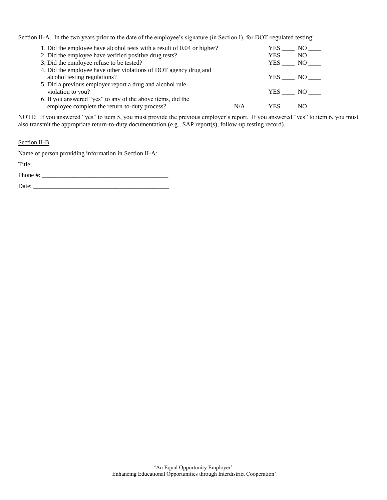Section II-A. In the two years prior to the date of the employee's signature (in Section I), for DOT-regulated testing:

| 1. Did the employee have alcohol tests with a result of 0.04 or higher? |     | YES<br>NO   |
|-------------------------------------------------------------------------|-----|-------------|
| 2. Did the employee have verified positive drug tests?                  |     | YES NO      |
| 3. Did the employee refuse to be tested?                                |     | YES NO      |
| 4. Did the employee have other violations of DOT agency drug and        |     |             |
| alcohol testing regulations?                                            |     | YES NO      |
| 5. Did a previous employer report a drug and alcohol rule               |     |             |
| violation to you?                                                       |     | YES NO      |
| 6. If you answered "yes" to any of the above items, did the             |     |             |
| employee complete the return-to-duty process?                           | N/A | YES.<br>NO. |

NOTE: If you answered "yes" to item 5, you must provide the previous employer's report. If you answered "yes" to item 6, you must also transmit the appropriate return-to-duty documentation (e.g., SAP report(s), follow-up testing record).

#### Section II-B.

Name of person providing information in Section II-A: \_\_\_\_\_\_\_\_\_\_\_\_\_\_\_\_\_\_\_\_\_\_\_\_\_\_\_\_\_\_\_\_\_\_\_\_\_\_\_\_\_\_\_\_\_\_\_

Title: \_\_\_\_\_\_\_\_\_\_\_\_\_\_\_\_\_\_\_\_\_\_\_\_\_\_\_\_\_\_\_\_\_\_\_\_\_\_\_\_\_\_\_

Phone #: \_\_\_\_\_\_\_\_\_\_\_\_\_\_\_\_\_\_\_\_\_\_\_\_\_\_\_\_\_\_\_\_\_\_\_\_\_\_\_\_

Date: \_\_\_\_\_\_\_\_\_\_\_\_\_\_\_\_\_\_\_\_\_\_\_\_\_\_\_\_\_\_\_\_\_\_\_\_\_\_\_\_\_\_\_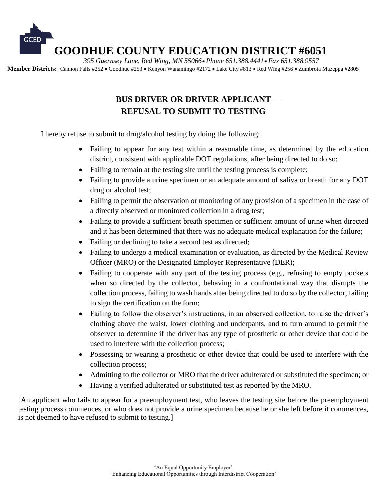

## **— BUS DRIVER OR DRIVER APPLICANT — REFUSAL TO SUBMIT TO TESTING**

I hereby refuse to submit to drug/alcohol testing by doing the following:

- Failing to appear for any test within a reasonable time, as determined by the education district, consistent with applicable DOT regulations, after being directed to do so;
- Failing to remain at the testing site until the testing process is complete;
- Failing to provide a urine specimen or an adequate amount of saliva or breath for any DOT drug or alcohol test;
- Failing to permit the observation or monitoring of any provision of a specimen in the case of a directly observed or monitored collection in a drug test;
- Failing to provide a sufficient breath specimen or sufficient amount of urine when directed and it has been determined that there was no adequate medical explanation for the failure;
- Failing or declining to take a second test as directed;
- Failing to undergo a medical examination or evaluation, as directed by the Medical Review Officer (MRO) or the Designated Employer Representative (DER);
- Failing to cooperate with any part of the testing process (e.g., refusing to empty pockets when so directed by the collector, behaving in a confrontational way that disrupts the collection process, failing to wash hands after being directed to do so by the collector, failing to sign the certification on the form;
- Failing to follow the observer's instructions, in an observed collection, to raise the driver's clothing above the waist, lower clothing and underpants, and to turn around to permit the observer to determine if the driver has any type of prosthetic or other device that could be used to interfere with the collection process;
- Possessing or wearing a prosthetic or other device that could be used to interfere with the collection process;
- Admitting to the collector or MRO that the driver adulterated or substituted the specimen; or
- Having a verified adulterated or substituted test as reported by the MRO.

[An applicant who fails to appear for a preemployment test, who leaves the testing site before the preemployment testing process commences, or who does not provide a urine specimen because he or she left before it commences, is not deemed to have refused to submit to testing.]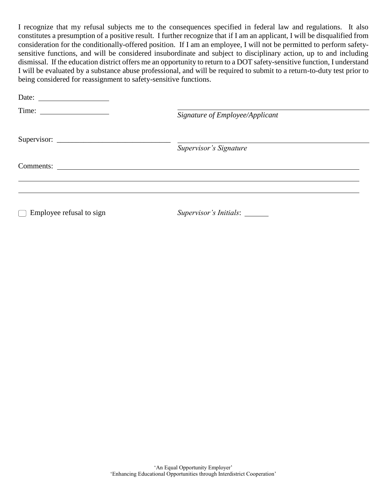I recognize that my refusal subjects me to the consequences specified in federal law and regulations. It also constitutes a presumption of a positive result. I further recognize that if I am an applicant, I will be disqualified from consideration for the conditionally-offered position. If I am an employee, I will not be permitted to perform safetysensitive functions, and will be considered insubordinate and subject to disciplinary action, up to and including dismissal. If the education district offers me an opportunity to return to a DOT safety-sensitive function, I understand I will be evaluated by a substance abuse professional, and will be required to submit to a return-to-duty test prior to being considered for reassignment to safety-sensitive functions.

| Date: $\frac{1}{\sqrt{1-\frac{1}{2}} \cdot \frac{1}{2}}$ | Signature of Employee/Applicant |  |
|----------------------------------------------------------|---------------------------------|--|
| Time: $\qquad \qquad$                                    |                                 |  |
|                                                          | Supervisor's Signature          |  |
| Comments:                                                |                                 |  |
|                                                          |                                 |  |
| $\Box$ Employee refusal to sign                          | Supervisor's Initials: _______  |  |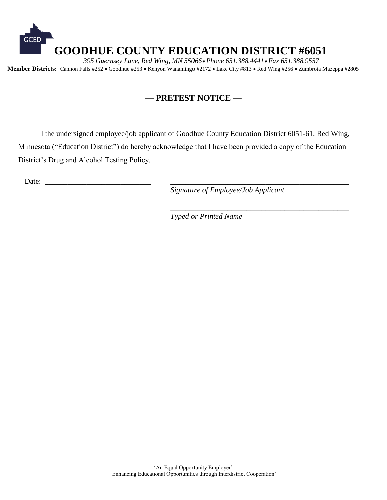

### **— PRETEST NOTICE —**

I the undersigned employee/job applicant of Goodhue County Education District 6051-61, Red Wing, Minnesota ("Education District") do hereby acknowledge that I have been provided a copy of the Education District's Drug and Alcohol Testing Policy.

Date:

*Signature of Employee/Job Applicant*

\_\_\_\_\_\_\_\_\_\_\_\_\_\_\_\_\_\_\_\_\_\_\_\_\_\_\_\_\_\_\_\_\_\_\_\_\_\_\_\_\_\_\_\_\_\_\_

*Typed or Printed Name*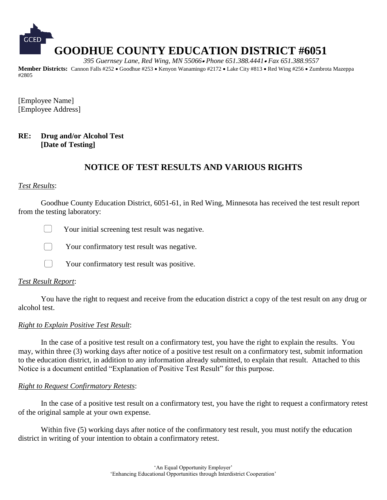

[Employee Name] [Employee Address]

#### **RE: Drug and/or Alcohol Test [Date of Testing]**

### **NOTICE OF TEST RESULTS AND VARIOUS RIGHTS**

#### *Test Results*:

Goodhue County Education District, 6051-61, in Red Wing, Minnesota has received the test result report from the testing laboratory:





Your confirmatory test result was positive.

#### *Test Result Report*:

 $\Box$ 

You have the right to request and receive from the education district a copy of the test result on any drug or alcohol test.

#### *Right to Explain Positive Test Result*:

In the case of a positive test result on a confirmatory test, you have the right to explain the results. You may, within three (3) working days after notice of a positive test result on a confirmatory test, submit information to the education district, in addition to any information already submitted, to explain that result. Attached to this Notice is a document entitled "Explanation of Positive Test Result" for this purpose.

#### *Right to Request Confirmatory Retests*:

In the case of a positive test result on a confirmatory test, you have the right to request a confirmatory retest of the original sample at your own expense.

Within five (5) working days after notice of the confirmatory test result, you must notify the education district in writing of your intention to obtain a confirmatory retest.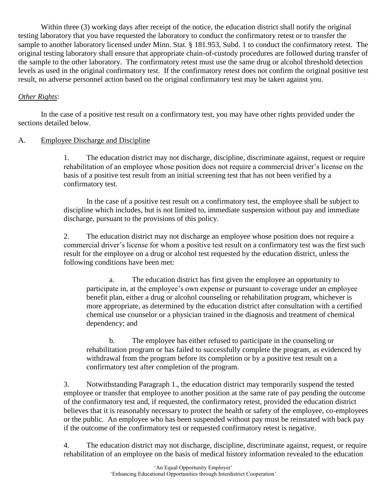Within three (3) working days after receipt of the notice, the education district shall notify the original testing laboratory that you have requested the laboratory to conduct the confirmatory retest or to transfer the sample to another laboratory licensed under Minn. Stat. § 181.953, Subd. 1 to conduct the confirmatory retest. The original testing laboratory shall ensure that appropriate chain-of-custody procedures are followed during transfer of the sample to the other laboratory. The confirmatory retest must use the same drug or alcohol threshold detection levels as used in the original confirmatory test. If the confirmatory retest does not confirm the original positive test result, no adverse personnel action based on the original confirmatory test may be taken against you.

#### *Other Rights*:

In the case of a positive test result on a confirmatory test, you may have other rights provided under the sections detailed below.

### A. Employee Discharge and Discipline

1. The education district may not discharge, discipline, discriminate against, request or require rehabilitation of an employee whose position does not require a commercial driver's license on the basis of a positive test result from an initial screening test that has not been verified by a confirmatory test.

In the case of a positive test result on a confirmatory test, the employee shall be subject to discipline which includes, but is not limited to, immediate suspension without pay and immediate discharge, pursuant to the provisions of this policy.

2. The education district may not discharge an employee whose position does not require a commercial driver's license for whom a positive test result on a confirmatory test was the first such result for the employee on a drug or alcohol test requested by the education district, unless the following conditions have been met:

a. The education district has first given the employee an opportunity to participate in, at the employee's own expense or pursuant to coverage under an employee benefit plan, either a drug or alcohol counseling or rehabilitation program, whichever is more appropriate, as determined by the education district after consultation with a certified chemical use counselor or a physician trained in the diagnosis and treatment of chemical dependency; and

b. The employee has either refused to participate in the counseling or rehabilitation program or has failed to successfully complete the program, as evidenced by withdrawal from the program before its completion or by a positive test result on a confirmatory test after completion of the program.

3. Notwithstanding Paragraph 1., the education district may temporarily suspend the tested employee or transfer that employee to another position at the same rate of pay pending the outcome of the confirmatory test and, if requested, the confirmatory retest, provided the education district believes that it is reasonably necessary to protect the health or safety of the employee, co-employees or the public. An employee who has been suspended without pay must be reinstated with back pay if the outcome of the confirmatory test or requested confirmatory retest is negative.

4. The education district may not discharge, discipline, discriminate against, request, or require rehabilitation of an employee on the basis of medical history information revealed to the education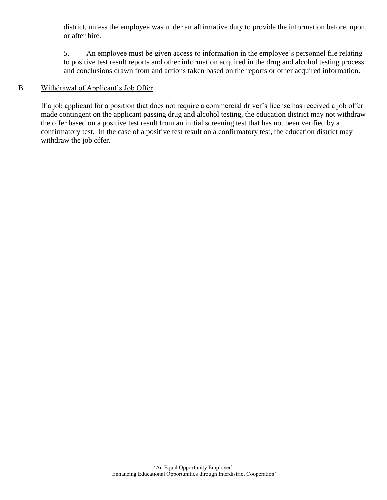district, unless the employee was under an affirmative duty to provide the information before, upon, or after hire.

5. An employee must be given access to information in the employee's personnel file relating to positive test result reports and other information acquired in the drug and alcohol testing process and conclusions drawn from and actions taken based on the reports or other acquired information.

#### B. Withdrawal of Applicant's Job Offer

If a job applicant for a position that does not require a commercial driver's license has received a job offer made contingent on the applicant passing drug and alcohol testing, the education district may not withdraw the offer based on a positive test result from an initial screening test that has not been verified by a confirmatory test. In the case of a positive test result on a confirmatory test, the education district may withdraw the job offer.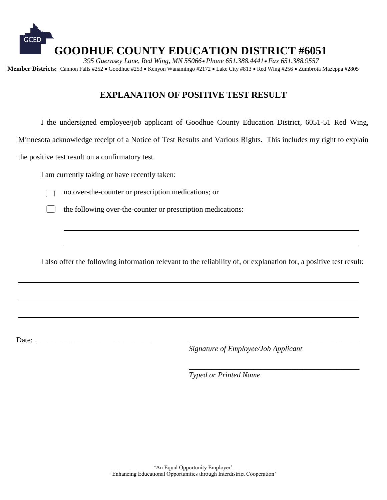

### **EXPLANATION OF POSITIVE TEST RESULT**

I the undersigned employee/job applicant of Goodhue County Education District, 6051-51 Red Wing,

Minnesota acknowledge receipt of a Notice of Test Results and Various Rights. This includes my right to explain

the positive test result on a confirmatory test.

I am currently taking or have recently taken:



no over-the-counter or prescription medications; or

the following over-the-counter or prescription medications:

I also offer the following information relevant to the reliability of, or explanation for, a positive test result:

Date: \_\_\_\_\_\_\_\_\_\_\_\_\_\_\_\_\_\_\_\_\_\_\_\_\_\_\_\_\_\_ \_\_\_\_\_\_\_\_\_\_\_\_\_\_\_\_\_\_\_\_\_\_\_\_\_\_\_\_\_\_\_\_\_\_\_\_\_\_\_\_\_\_\_\_\_

*Signature of Employee/Job Applicant*

\_\_\_\_\_\_\_\_\_\_\_\_\_\_\_\_\_\_\_\_\_\_\_\_\_\_\_\_\_\_\_\_\_\_\_\_\_\_\_\_\_\_\_\_\_

*Typed or Printed Name*